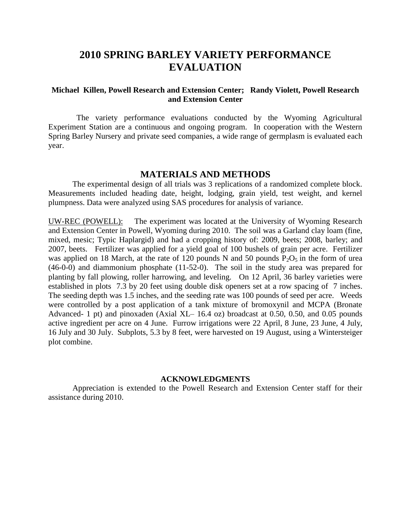## **2010 SPRING BARLEY VARIETY PERFORMANCE EVALUATION**

## **Michael Killen, Powell Research and Extension Center; Randy Violett, Powell Research and Extension Center**

 The variety performance evaluations conducted by the Wyoming Agricultural Experiment Station are a continuous and ongoing program. In cooperation with the Western Spring Barley Nursery and private seed companies, a wide range of germplasm is evaluated each year.

## **MATERIALS AND METHODS**

The experimental design of all trials was 3 replications of a randomized complete block. Measurements included heading date, height, lodging, grain yield, test weight, and kernel plumpness. Data were analyzed using SAS procedures for analysis of variance.

UW-REC (POWELL): The experiment was located at the University of Wyoming Research and Extension Center in Powell, Wyoming during 2010. The soil was a Garland clay loam (fine, mixed, mesic; Typic Haplargid) and had a cropping history of: 2009, beets; 2008, barley; and 2007, beets. Fertilizer was applied for a yield goal of 100 bushels of grain per acre. Fertilizer was applied on 18 March, at the rate of 120 pounds N and 50 pounds  $P_2O_5$  in the form of urea (46-0-0) and diammonium phosphate (11-52-0). The soil in the study area was prepared for planting by fall plowing, roller harrowing, and leveling. On 12 April, 36 barley varieties were established in plots 7.3 by 20 feet using double disk openers set at a row spacing of 7 inches. The seeding depth was 1.5 inches, and the seeding rate was 100 pounds of seed per acre. Weeds were controlled by a post application of a tank mixture of bromoxynil and MCPA (Bronate Advanced- 1 pt) and pinoxaden (Axial XL– 16.4 oz) broadcast at 0.50, 0.50, and 0.05 pounds active ingredient per acre on 4 June. Furrow irrigations were 22 April, 8 June, 23 June, 4 July, 16 July and 30 July. Subplots, 5.3 by 8 feet, were harvested on 19 August, using a Wintersteiger plot combine.

## **ACKNOWLEDGMENTS**

Appreciation is extended to the Powell Research and Extension Center staff for their assistance during 2010.